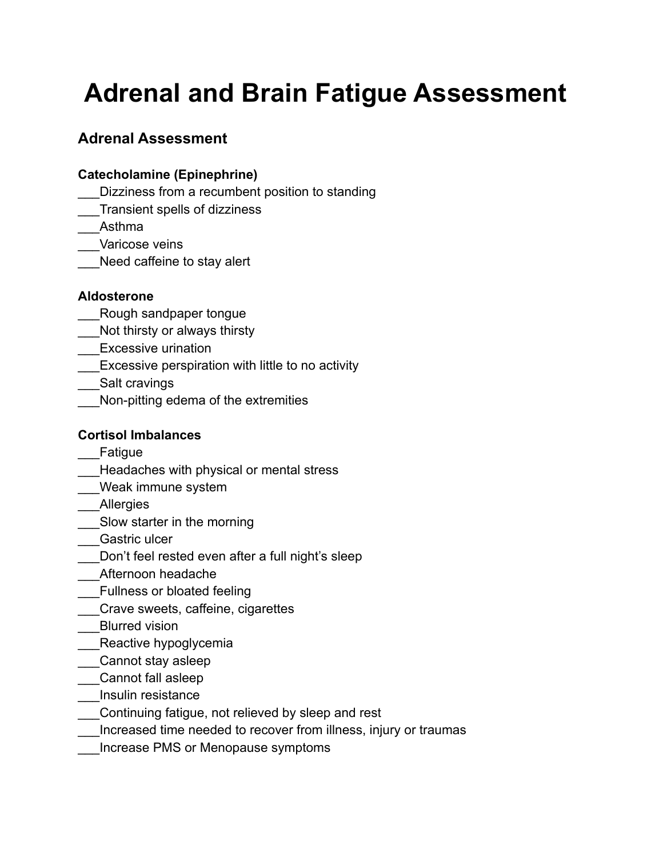# **Adrenal and Brain Fatigue Assessment**

# **Adrenal Assessment**

## **Catecholamine (Epinephrine)**

- Dizziness from a recumbent position to standing
- \_\_\_Transient spells of dizziness
- \_\_\_Asthma
- Varicose veins
- \_\_\_Need caffeine to stay alert

### **Aldosterone**

- Rough sandpaper tongue
- Not thirsty or always thirsty
- \_\_\_Excessive urination
- Excessive perspiration with little to no activity
- Salt cravings
- Non-pitting edema of the extremities

## **Cortisol Imbalances**

- **Fatigue**
- Headaches with physical or mental stress
- \_\_\_Weak immune system
- **Allergies**
- \_\_\_Slow starter in the morning
- Gastric ulcer
- Don't feel rested even after a full night's sleep
- \_\_\_Afternoon headache
- Fullness or bloated feeling
- \_\_\_Crave sweets, caffeine, cigarettes
- Blurred vision
- Reactive hypoglycemia
- \_\_\_Cannot stay asleep
- \_\_\_Cannot fall asleep
- \_\_\_Insulin resistance
- \_\_\_Continuing fatigue, not relieved by sleep and rest
- Increased time needed to recover from illness, injury or traumas
- \_\_\_Increase PMS or Menopause symptoms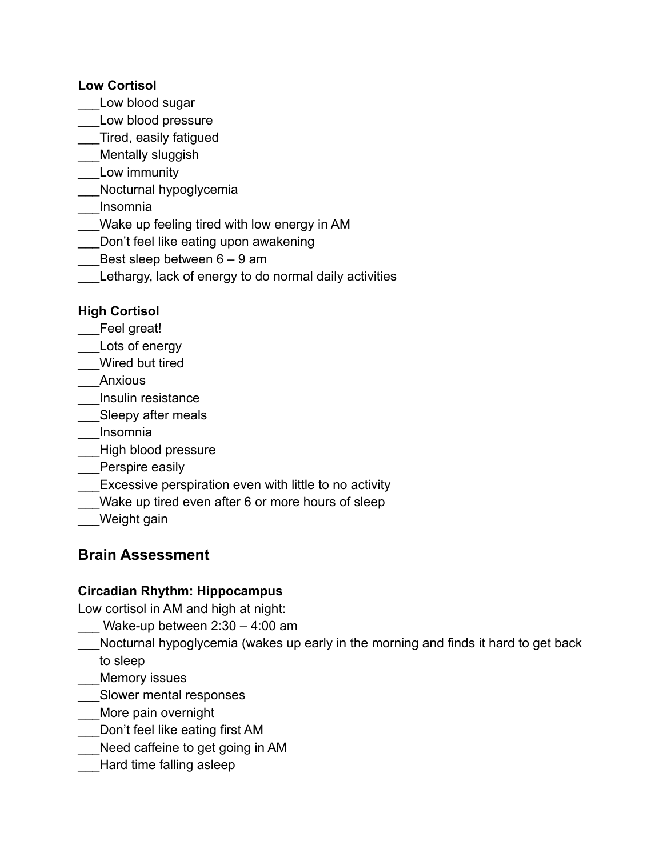### **Low Cortisol**

- Low blood sugar
- Low blood pressure
- \_\_\_Tired, easily fatigued
- Mentally sluggish
- Low immunity
- Nocturnal hypoglycemia
- \_\_\_Insomnia
- Wake up feeling tired with low energy in AM
- Don't feel like eating upon awakening
- Best sleep between  $6 9$  am
- Lethargy, lack of energy to do normal daily activities

## **High Cortisol**

- Feel great!
- Lots of energy
- \_\_\_Wired but tired
- **Anxious**
- \_\_\_Insulin resistance
- Sleepy after meals
- \_\_\_Insomnia
- \_\_\_High blood pressure
- Perspire easily
- **Excessive perspiration even with little to no activity**
- Wake up tired even after 6 or more hours of sleep
- Weight gain

## **Brain Assessment**

## **Circadian Rhythm: Hippocampus**

Low cortisol in AM and high at night:

- Wake-up between  $2:30 4:00$  am
- Nocturnal hypoglycemia (wakes up early in the morning and finds it hard to get back to sleep
- Memory issues
- \_\_\_Slower mental responses
- More pain overnight
- Don't feel like eating first AM
- \_\_\_Need caffeine to get going in AM
- Hard time falling asleep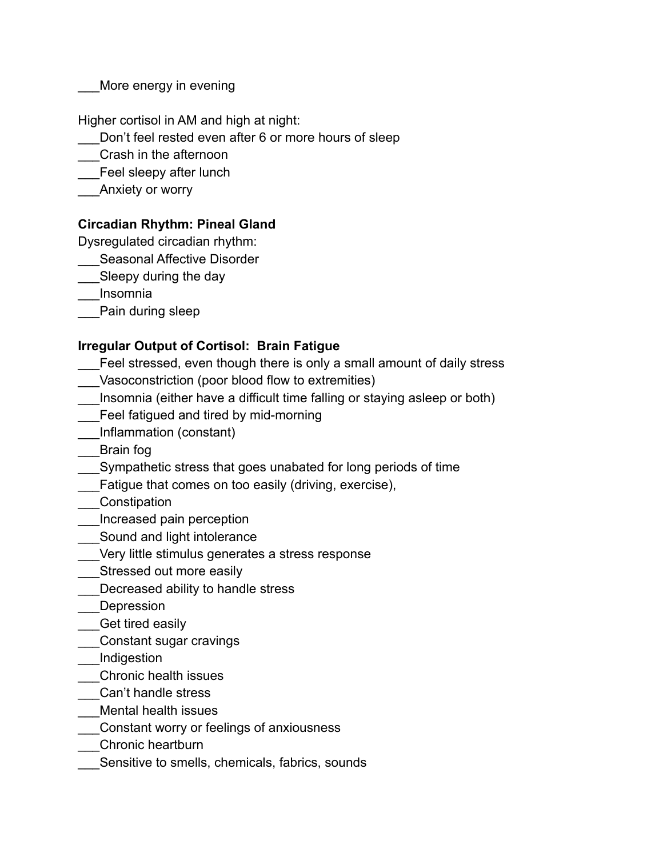More energy in evening

Higher cortisol in AM and high at night:

- Don't feel rested even after 6 or more hours of sleep
- \_\_\_Crash in the afternoon
- Feel sleepy after lunch
- Anxiety or worry

## **Circadian Rhythm: Pineal Gland**

Dysregulated circadian rhythm:

- Seasonal Affective Disorder
- Sleepy during the day

\_\_\_Insomnia

Pain during sleep

## **Irregular Output of Cortisol: Brain Fatigue**

- Feel stressed, even though there is only a small amount of daily stress
- Vasoconstriction (poor blood flow to extremities)
- \_\_\_Insomnia (either have a difficult time falling or staying asleep or both)
- Feel fatigued and tired by mid-morning
- \_\_\_Inflammation (constant)
- \_\_\_Brain fog
- \_\_\_Sympathetic stress that goes unabated for long periods of time
- Fatigue that comes on too easily (driving, exercise),
- \_\_\_Constipation
- \_\_\_Increased pain perception
- Sound and light intolerance
- Very little stimulus generates a stress response
- Stressed out more easily
- Decreased ability to handle stress
- **Depression**
- Get tired easily
- \_\_\_Constant sugar cravings
- \_\_\_Indigestion
- \_\_\_Chronic health issues
- \_\_\_Can't handle stress
- \_\_\_Mental health issues
- \_\_\_Constant worry or feelings of anxiousness
- \_\_\_Chronic heartburn
- Sensitive to smells, chemicals, fabrics, sounds